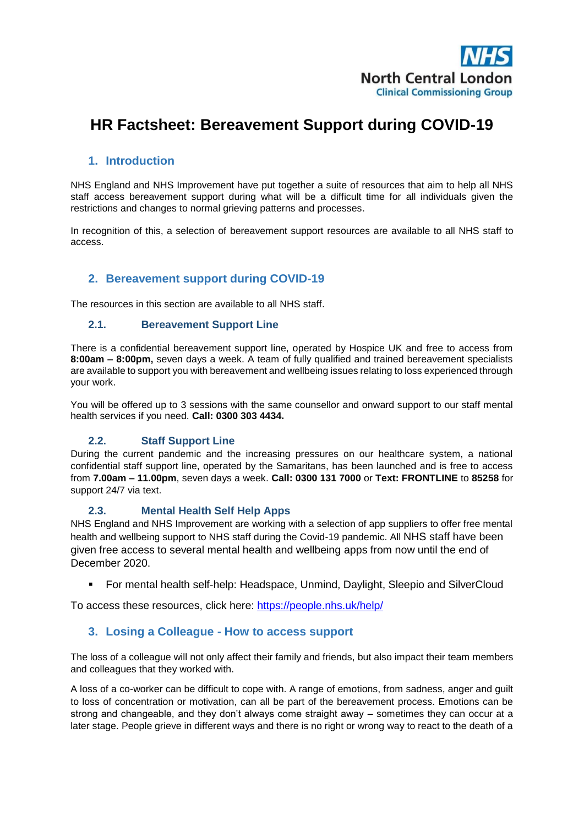

# **HR Factsheet: Bereavement Support during COVID-19**

## **1. Introduction**

NHS England and NHS Improvement have put together a suite of resources that aim to help all NHS staff access bereavement support during what will be a difficult time for all individuals given the restrictions and changes to normal grieving patterns and processes.

In recognition of this, a selection of bereavement support resources are available to all NHS staff to access.

### **2. Bereavement support during COVID-19**

The resources in this section are available to all NHS staff.

#### **2.1. Bereavement Support Line**

There is a confidential bereavement support line, operated by Hospice UK and free to access from **8:00am – 8:00pm,** seven days a week. A team of fully qualified and trained bereavement specialists are available to support you with bereavement and wellbeing issues relating to loss experienced through your work.

You will be offered up to 3 sessions with the same counsellor and onward support to our staff mental health services if you need. **Call: 0300 303 4434.**

#### **2.2. Staff Support Line**

During the current pandemic and the increasing pressures on our healthcare system, a national confidential staff support line, operated by the Samaritans, has been launched and is free to access from **7.00am – 11.00pm**, seven days a week. **Call: 0300 131 7000** or **Text: FRONTLINE** to **85258** for support 24/7 via text.

#### **2.3. Mental Health Self Help Apps**

NHS England and NHS Improvement are working with a selection of app suppliers to offer free mental health and wellbeing support to NHS staff during the Covid-19 pandemic. All NHS staff have been given free access to several mental health and wellbeing apps from now until the end of December 2020.

For mental health self-help: Headspace, Unmind, Daylight, Sleepio and SilverCloud

To access these resources, click here:<https://people.nhs.uk/help/>

#### **3. Losing a Colleague - How to access support**

The loss of a colleague will not only affect their family and friends, but also impact their team members and colleagues that they worked with.

A loss of a co-worker can be difficult to cope with. A range of emotions, from sadness, anger and guilt to loss of concentration or motivation, can all be part of the bereavement process. Emotions can be strong and changeable, and they don't always come straight away – sometimes they can occur at a later stage. People grieve in different ways and there is no right or wrong way to react to the death of a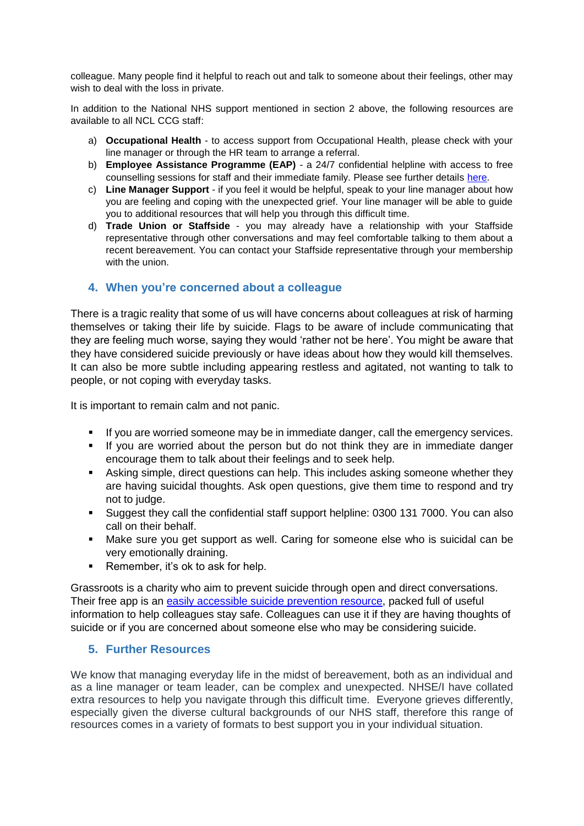colleague. Many people find it helpful to reach out and talk to someone about their feelings, other may wish to deal with the loss in private.

In addition to the National NHS support mentioned in section 2 above, the following resources are available to all NCL CCG staff:

- a) **Occupational Health** to access support from Occupational Health, please check with your line manager or through the HR team to arrange a referral.
- b) **Employee Assistance Programme (EAP)** a 24/7 confidential helpline with access to free counselling sessions for staff and their immediate family. Please see further details [here.](https://intranet.northcentrallondonccg.nhs.uk/news/Employee%20Assistance%20Programme.pdf)
- c) **Line Manager Support** if you feel it would be helpful, speak to your line manager about how you are feeling and coping with the unexpected grief. Your line manager will be able to guide you to additional resources that will help you through this difficult time.
- d) **Trade Union or Staffside** you may already have a relationship with your Staffside representative through other conversations and may feel comfortable talking to them about a recent bereavement. You can contact your Staffside representative through your membership with the union.

# **4. When you're concerned about a colleague**

There is a tragic reality that some of us will have concerns about colleagues at risk of harming themselves or taking their life by suicide. Flags to be aware of include communicating that they are feeling much worse, saying they would 'rather not be here'. You might be aware that they have considered suicide previously or have ideas about how they would kill themselves. It can also be more subtle including appearing restless and agitated, not wanting to talk to people, or not coping with everyday tasks.

It is important to remain calm and not panic.

- If you are worried someone may be in immediate danger, call the emergency services.
- If you are worried about the person but do not think they are in immediate danger encourage them to talk about their feelings and to seek help.
- Asking simple, direct questions can help. This includes asking someone whether they are having suicidal thoughts. Ask open questions, give them time to respond and try not to judge.
- Suggest they call the confidential staff support helpline: 0300 131 7000. You can also call on their behalf.
- Make sure you get support as well. Caring for someone else who is suicidal can be very emotionally draining.
- Remember, it's ok to ask for help.

Grassroots is a charity who aim to prevent suicide through open and direct conversations. Their free app is an [easily accessible suicide prevention resource,](https://www.prevent-suicide.org.uk/find-help-now/stay-alive-app/) packed full of useful information to help colleagues stay safe. Colleagues can use it if they are having thoughts of suicide or if you are concerned about someone else who may be considering suicide.

#### **5. Further Resources**

We know that managing everyday life in the midst of bereavement, both as an individual and as a line manager or team leader, can be complex and unexpected. NHSE/I have collated extra resources to help you navigate through this difficult time. Everyone grieves differently, especially given the diverse cultural backgrounds of our NHS staff, therefore this range of resources comes in a variety of formats to best support you in your individual situation.